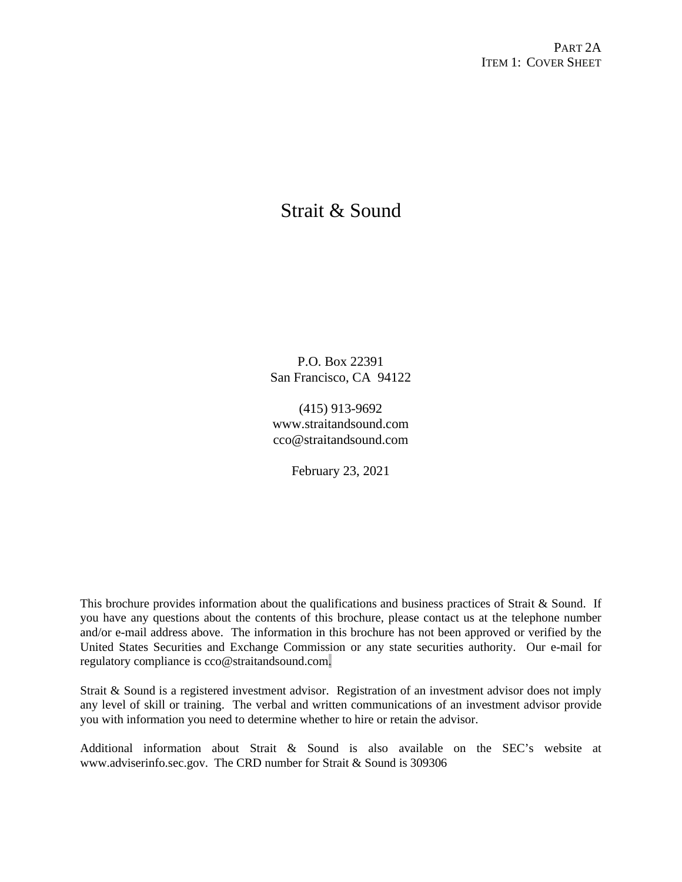# Strait & Sound

P.O. Box 22391 San Francisco, CA 94122

(415) 913-9692 www.straitandsound.com cco@straitandsound.com

February 23, 2021

This brochure provides information about the qualifications and business practices of Strait  $\&$  Sound. If you have any questions about the contents of this brochure, please contact us at the telephone number and/or e-mail address above. The information in this brochure has not been approved or verified by the United States Securities and Exchange Commission or any state securities authority. Our e-mail for regulatory compliance is cco@straitandsound.com.

Strait & Sound is a registered investment advisor. Registration of an investment advisor does not imply any level of skill or training. The verbal and written communications of an investment advisor provide you with information you need to determine whether to hire or retain the advisor.

Additional information about Strait & Sound is also available on the SEC's website at www.adviserinfo.sec.gov. The CRD number for Strait & Sound is 309306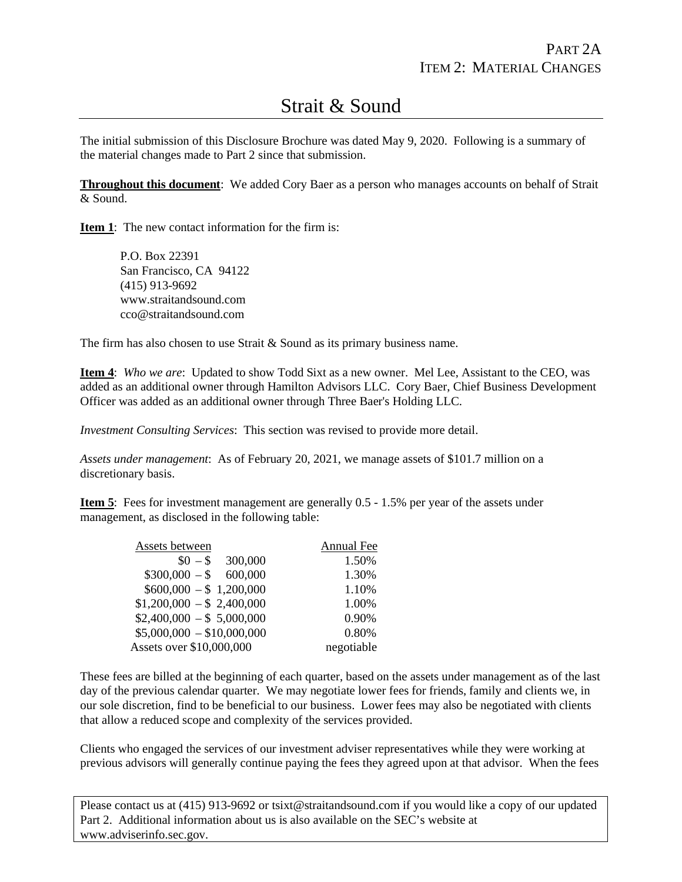# Strait & Sound

The initial submission of this Disclosure Brochure was dated May 9, 2020. Following is a summary of the material changes made to Part 2 since that submission.

**Throughout this document**: We added Cory Baer as a person who manages accounts on behalf of Strait & Sound.

**Item 1**: The new contact information for the firm is:

P.O. Box 22391 San Francisco, CA 94122 (415) 913-9692 www.straitandsound.com cco@straitandsound.com

The firm has also chosen to use Strait & Sound as its primary business name.

**Item 4**: *Who we are*: Updated to show Todd Sixt as a new owner. Mel Lee, Assistant to the CEO, was added as an additional owner through Hamilton Advisors LLC. Cory Baer, Chief Business Development Officer was added as an additional owner through Three Baer's Holding LLC.

*Investment Consulting Services*: This section was revised to provide more detail.

*Assets under management*: As of February 20, 2021, we manage assets of \$101.7 million on a discretionary basis.

**Item 5**: Fees for investment management are generally 0.5 - 1.5% per year of the assets under management, as disclosed in the following table:

| Assets between             | <b>Annual Fee</b> |
|----------------------------|-------------------|
| 300,000<br>$$0 - $$        | 1.50%             |
| $$300,000 - $600,000$      | 1.30%             |
| $$600,000 - $1,200,000$    | 1.10%             |
| $$1,200,000 - $2,400,000$  | 1.00%             |
| $$2,400,000 - $5,000,000$  | 0.90%             |
| $$5,000,000 - $10,000,000$ | 0.80%             |
| Assets over \$10,000,000   | negotiable        |

These fees are billed at the beginning of each quarter, based on the assets under management as of the last day of the previous calendar quarter. We may negotiate lower fees for friends, family and clients we, in our sole discretion, find to be beneficial to our business. Lower fees may also be negotiated with clients that allow a reduced scope and complexity of the services provided.

Clients who engaged the services of our investment adviser representatives while they were working at previous advisors will generally continue paying the fees they agreed upon at that advisor. When the fees

Please contact us at (415) 913-9692 or tsixt@straitandsound.com if you would like a copy of our updated Part 2. Additional information about us is also available on the SEC's website at www.adviserinfo.sec.gov.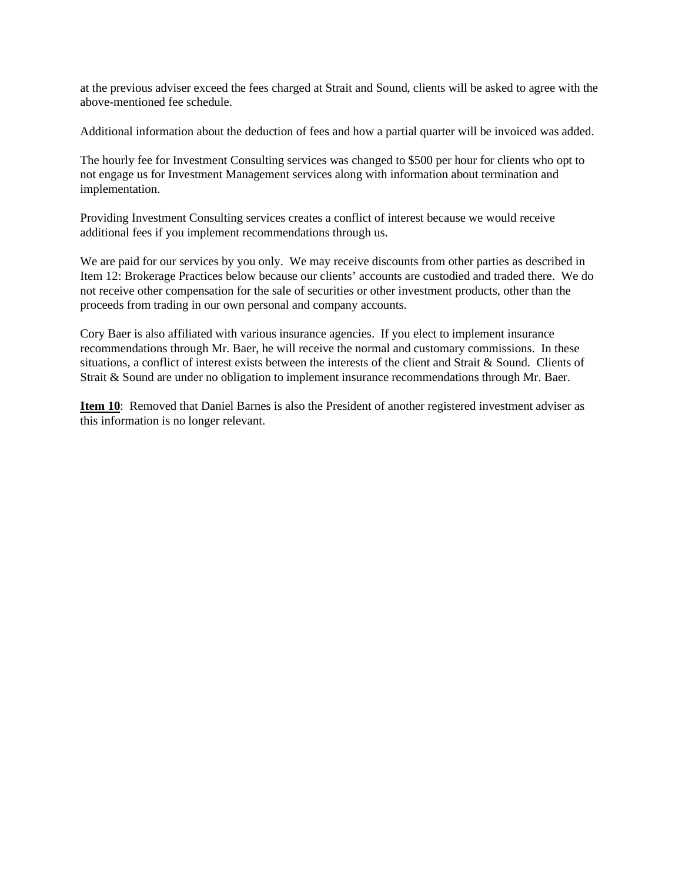at the previous adviser exceed the fees charged at Strait and Sound, clients will be asked to agree with the above-mentioned fee schedule.

Additional information about the deduction of fees and how a partial quarter will be invoiced was added.

The hourly fee for Investment Consulting services was changed to \$500 per hour for clients who opt to not engage us for Investment Management services along with information about termination and implementation.

Providing Investment Consulting services creates a conflict of interest because we would receive additional fees if you implement recommendations through us.

We are paid for our services by you only. We may receive discounts from other parties as described in Item 12: Brokerage Practices below because our clients' accounts are custodied and traded there. We do not receive other compensation for the sale of securities or other investment products, other than the proceeds from trading in our own personal and company accounts.

Cory Baer is also affiliated with various insurance agencies. If you elect to implement insurance recommendations through Mr. Baer, he will receive the normal and customary commissions. In these situations, a conflict of interest exists between the interests of the client and Strait & Sound. Clients of Strait & Sound are under no obligation to implement insurance recommendations through Mr. Baer.

**Item 10**: Removed that Daniel Barnes is also the President of another registered investment adviser as this information is no longer relevant.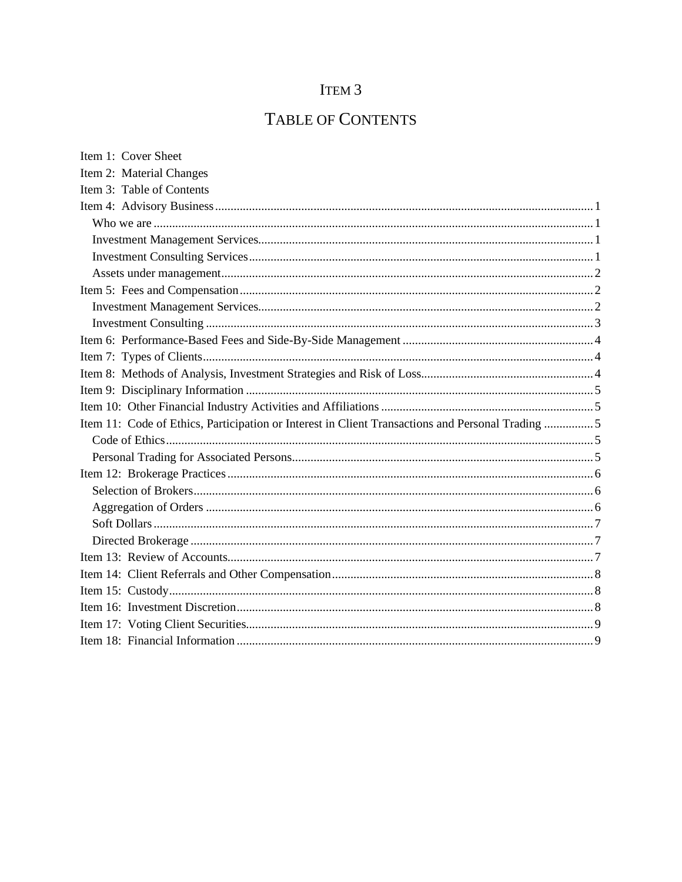# ITEM 3

# TABLE OF CONTENTS

| Item 1: Cover Sheet                                                                              |
|--------------------------------------------------------------------------------------------------|
| Item 2: Material Changes                                                                         |
| Item 3: Table of Contents                                                                        |
|                                                                                                  |
|                                                                                                  |
|                                                                                                  |
|                                                                                                  |
|                                                                                                  |
|                                                                                                  |
|                                                                                                  |
|                                                                                                  |
|                                                                                                  |
|                                                                                                  |
|                                                                                                  |
|                                                                                                  |
|                                                                                                  |
| Item 11: Code of Ethics, Participation or Interest in Client Transactions and Personal Trading 5 |
|                                                                                                  |
|                                                                                                  |
|                                                                                                  |
|                                                                                                  |
|                                                                                                  |
|                                                                                                  |
|                                                                                                  |
|                                                                                                  |
|                                                                                                  |
|                                                                                                  |
|                                                                                                  |
|                                                                                                  |
|                                                                                                  |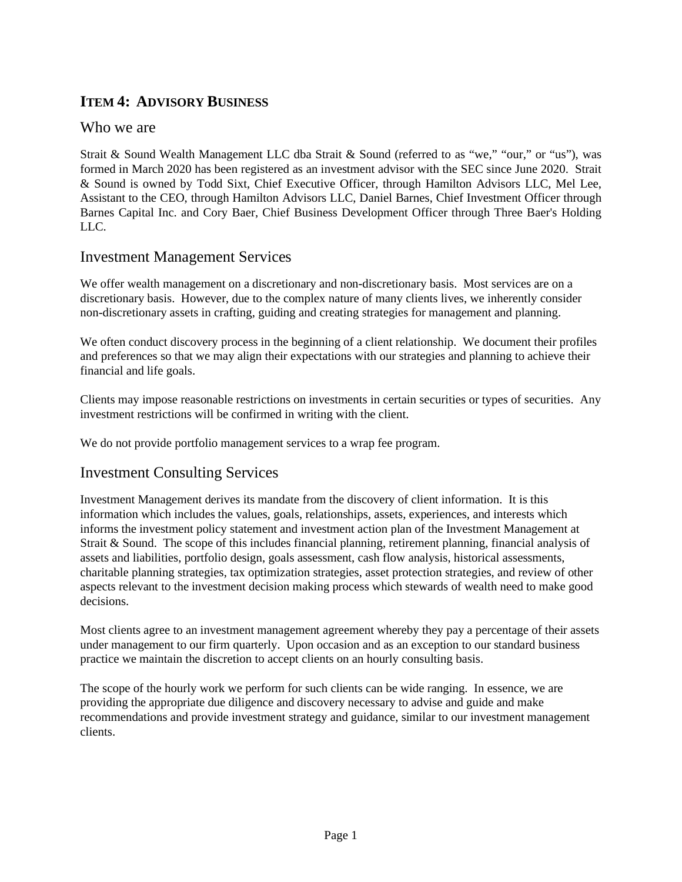## **ITEM 4: ADVISORY BUSINESS**

#### Who we are

Strait & Sound Wealth Management LLC dba Strait & Sound (referred to as "we," "our," or "us"), was formed in March 2020 has been registered as an investment advisor with the SEC since June 2020. Strait & Sound is owned by Todd Sixt, Chief Executive Officer, through Hamilton Advisors LLC, Mel Lee, Assistant to the CEO, through Hamilton Advisors LLC, Daniel Barnes, Chief Investment Officer through Barnes Capital Inc. and Cory Baer, Chief Business Development Officer through Three Baer's Holding LLC.

#### Investment Management Services

We offer wealth management on a discretionary and non-discretionary basis. Most services are on a discretionary basis. However, due to the complex nature of many clients lives, we inherently consider non-discretionary assets in crafting, guiding and creating strategies for management and planning.

We often conduct discovery process in the beginning of a client relationship. We document their profiles and preferences so that we may align their expectations with our strategies and planning to achieve their financial and life goals.

Clients may impose reasonable restrictions on investments in certain securities or types of securities. Any investment restrictions will be confirmed in writing with the client.

We do not provide portfolio management services to a wrap fee program.

#### Investment Consulting Services

Investment Management derives its mandate from the discovery of client information. It is this information which includes the values, goals, relationships, assets, experiences, and interests which informs the investment policy statement and investment action plan of the Investment Management at Strait & Sound. The scope of this includes financial planning, retirement planning, financial analysis of assets and liabilities, portfolio design, goals assessment, cash flow analysis, historical assessments, charitable planning strategies, tax optimization strategies, asset protection strategies, and review of other aspects relevant to the investment decision making process which stewards of wealth need to make good decisions.

Most clients agree to an investment management agreement whereby they pay a percentage of their assets under management to our firm quarterly. Upon occasion and as an exception to our standard business practice we maintain the discretion to accept clients on an hourly consulting basis.

The scope of the hourly work we perform for such clients can be wide ranging. In essence, we are providing the appropriate due diligence and discovery necessary to advise and guide and make recommendations and provide investment strategy and guidance, similar to our investment management clients.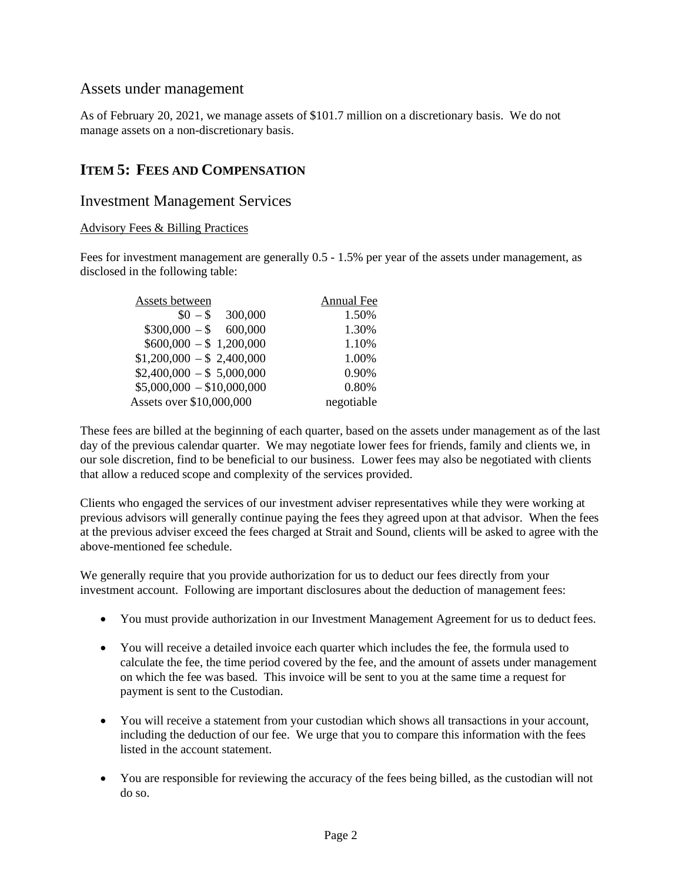#### Assets under management

As of February 20, 2021, we manage assets of \$101.7 million on a discretionary basis. We do not manage assets on a non-discretionary basis.

### **ITEM 5: FEES AND COMPENSATION**

#### Investment Management Services

#### Advisory Fees & Billing Practices

Fees for investment management are generally 0.5 - 1.5% per year of the assets under management, as disclosed in the following table:

| Assets between             | <b>Annual Fee</b> |
|----------------------------|-------------------|
| 300,000<br>$$0 - $$        | 1.50%             |
| $$300,000 - $600,000$      | 1.30%             |
| $$600,000 - $1,200,000$    | 1.10%             |
| $$1,200,000 - $2,400,000$  | 1.00%             |
| $$2,400,000 - $5,000,000$  | 0.90%             |
| $$5,000,000 - $10,000,000$ | 0.80%             |
| Assets over \$10,000,000   | negotiable        |

These fees are billed at the beginning of each quarter, based on the assets under management as of the last day of the previous calendar quarter. We may negotiate lower fees for friends, family and clients we, in our sole discretion, find to be beneficial to our business. Lower fees may also be negotiated with clients that allow a reduced scope and complexity of the services provided.

Clients who engaged the services of our investment adviser representatives while they were working at previous advisors will generally continue paying the fees they agreed upon at that advisor. When the fees at the previous adviser exceed the fees charged at Strait and Sound, clients will be asked to agree with the above-mentioned fee schedule.

We generally require that you provide authorization for us to deduct our fees directly from your investment account. Following are important disclosures about the deduction of management fees:

- You must provide authorization in our Investment Management Agreement for us to deduct fees.
- You will receive a detailed invoice each quarter which includes the fee, the formula used to calculate the fee, the time period covered by the fee, and the amount of assets under management on which the fee was based. This invoice will be sent to you at the same time a request for payment is sent to the Custodian.
- You will receive a statement from your custodian which shows all transactions in your account, including the deduction of our fee. We urge that you to compare this information with the fees listed in the account statement.
- You are responsible for reviewing the accuracy of the fees being billed, as the custodian will not do so.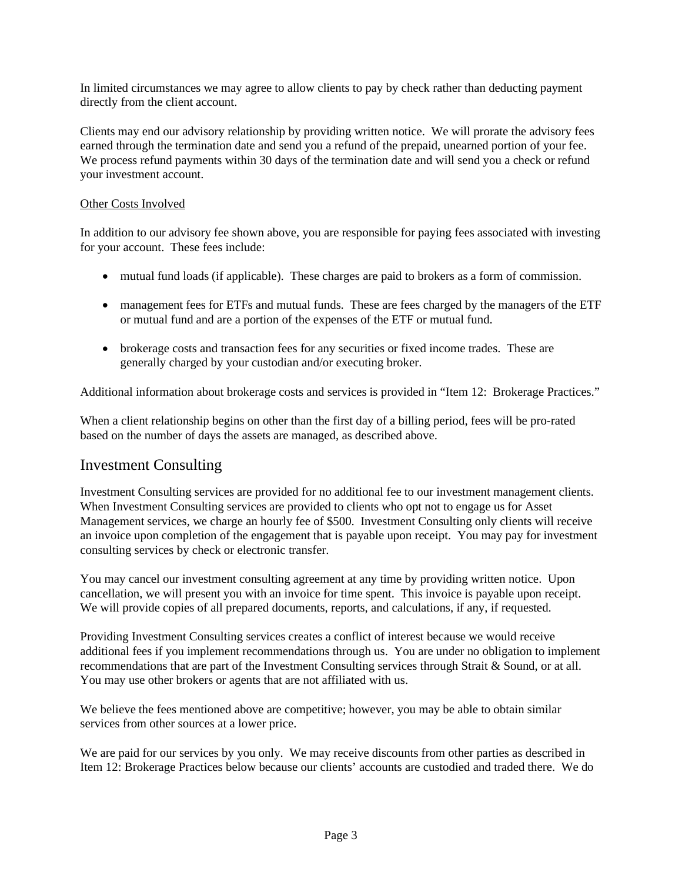In limited circumstances we may agree to allow clients to pay by check rather than deducting payment directly from the client account.

Clients may end our advisory relationship by providing written notice. We will prorate the advisory fees earned through the termination date and send you a refund of the prepaid, unearned portion of your fee. We process refund payments within 30 days of the termination date and will send you a check or refund your investment account.

#### Other Costs Involved

In addition to our advisory fee shown above, you are responsible for paying fees associated with investing for your account. These fees include:

- mutual fund loads (if applicable). These charges are paid to brokers as a form of commission.
- management fees for ETFs and mutual funds. These are fees charged by the managers of the ETF or mutual fund and are a portion of the expenses of the ETF or mutual fund.
- brokerage costs and transaction fees for any securities or fixed income trades. These are generally charged by your custodian and/or executing broker.

Additional information about brokerage costs and services is provided in "Item 12: Brokerage Practices."

When a client relationship begins on other than the first day of a billing period, fees will be pro-rated based on the number of days the assets are managed, as described above.

#### Investment Consulting

Investment Consulting services are provided for no additional fee to our investment management clients. When Investment Consulting services are provided to clients who opt not to engage us for Asset Management services, we charge an hourly fee of \$500. Investment Consulting only clients will receive an invoice upon completion of the engagement that is payable upon receipt. You may pay for investment consulting services by check or electronic transfer.

You may cancel our investment consulting agreement at any time by providing written notice. Upon cancellation, we will present you with an invoice for time spent. This invoice is payable upon receipt. We will provide copies of all prepared documents, reports, and calculations, if any, if requested.

Providing Investment Consulting services creates a conflict of interest because we would receive additional fees if you implement recommendations through us. You are under no obligation to implement recommendations that are part of the Investment Consulting services through Strait & Sound, or at all. You may use other brokers or agents that are not affiliated with us.

We believe the fees mentioned above are competitive; however, you may be able to obtain similar services from other sources at a lower price.

We are paid for our services by you only. We may receive discounts from other parties as described in Item 12: Brokerage Practices below because our clients' accounts are custodied and traded there. We do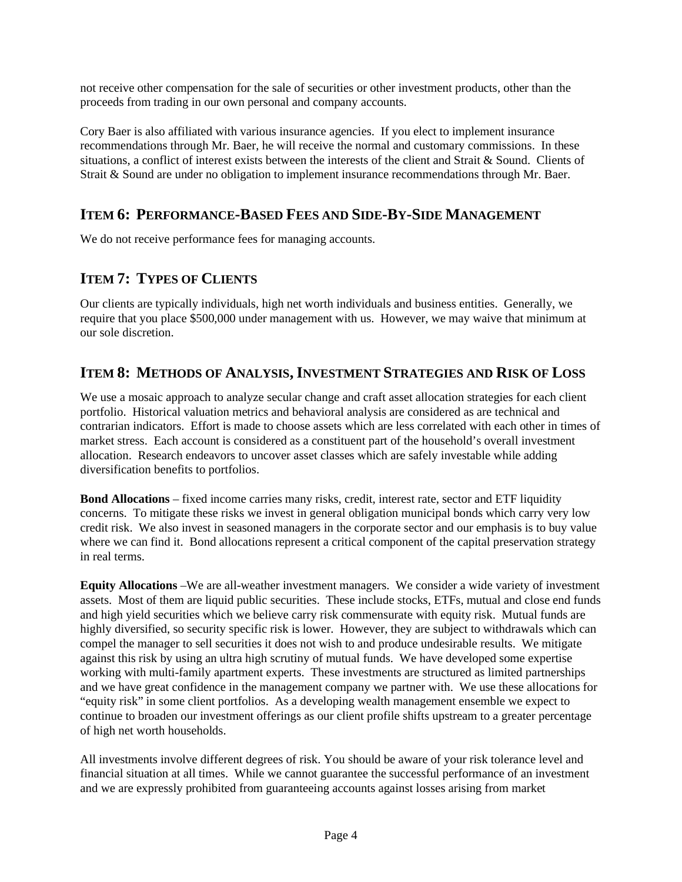not receive other compensation for the sale of securities or other investment products, other than the proceeds from trading in our own personal and company accounts.

Cory Baer is also affiliated with various insurance agencies. If you elect to implement insurance recommendations through Mr. Baer, he will receive the normal and customary commissions. In these situations, a conflict of interest exists between the interests of the client and Strait & Sound. Clients of Strait & Sound are under no obligation to implement insurance recommendations through Mr. Baer.

## **ITEM 6: PERFORMANCE-BASED FEES AND SIDE-BY-SIDE MANAGEMENT**

We do not receive performance fees for managing accounts.

## **ITEM 7: TYPES OF CLIENTS**

Our clients are typically individuals, high net worth individuals and business entities. Generally, we require that you place \$500,000 under management with us. However, we may waive that minimum at our sole discretion.

## **ITEM 8: METHODS OF ANALYSIS,INVESTMENT STRATEGIES AND RISK OF LOSS**

We use a mosaic approach to analyze secular change and craft asset allocation strategies for each client portfolio. Historical valuation metrics and behavioral analysis are considered as are technical and contrarian indicators. Effort is made to choose assets which are less correlated with each other in times of market stress. Each account is considered as a constituent part of the household's overall investment allocation. Research endeavors to uncover asset classes which are safely investable while adding diversification benefits to portfolios.

**Bond Allocations** – fixed income carries many risks, credit, interest rate, sector and ETF liquidity concerns. To mitigate these risks we invest in general obligation municipal bonds which carry very low credit risk. We also invest in seasoned managers in the corporate sector and our emphasis is to buy value where we can find it. Bond allocations represent a critical component of the capital preservation strategy in real terms.

**Equity Allocations** –We are all-weather investment managers. We consider a wide variety of investment assets. Most of them are liquid public securities. These include stocks, ETFs, mutual and close end funds and high yield securities which we believe carry risk commensurate with equity risk. Mutual funds are highly diversified, so security specific risk is lower. However, they are subject to withdrawals which can compel the manager to sell securities it does not wish to and produce undesirable results. We mitigate against this risk by using an ultra high scrutiny of mutual funds. We have developed some expertise working with multi-family apartment experts. These investments are structured as limited partnerships and we have great confidence in the management company we partner with. We use these allocations for "equity risk" in some client portfolios. As a developing wealth management ensemble we expect to continue to broaden our investment offerings as our client profile shifts upstream to a greater percentage of high net worth households.

All investments involve different degrees of risk. You should be aware of your risk tolerance level and financial situation at all times. While we cannot guarantee the successful performance of an investment and we are expressly prohibited from guaranteeing accounts against losses arising from market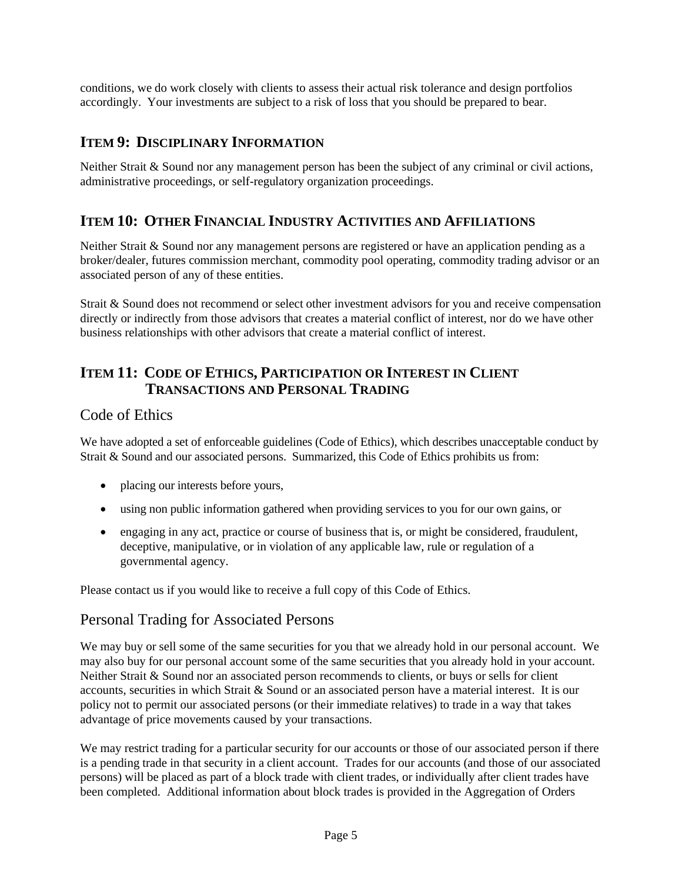conditions, we do work closely with clients to assess their actual risk tolerance and design portfolios accordingly. Your investments are subject to a risk of loss that you should be prepared to bear.

# **ITEM 9: DISCIPLINARY INFORMATION**

Neither Strait & Sound nor any management person has been the subject of any criminal or civil actions, administrative proceedings, or self-regulatory organization proceedings.

## **ITEM 10: OTHER FINANCIAL INDUSTRY ACTIVITIES AND AFFILIATIONS**

Neither Strait & Sound nor any management persons are registered or have an application pending as a broker/dealer, futures commission merchant, commodity pool operating, commodity trading advisor or an associated person of any of these entities.

Strait & Sound does not recommend or select other investment advisors for you and receive compensation directly or indirectly from those advisors that creates a material conflict of interest, nor do we have other business relationships with other advisors that create a material conflict of interest.

## **ITEM 11: CODE OF ETHICS, PARTICIPATION OR INTEREST IN CLIENT TRANSACTIONS AND PERSONAL TRADING**

#### Code of Ethics

We have adopted a set of enforceable guidelines (Code of Ethics), which describes unacceptable conduct by Strait & Sound and our associated persons. Summarized, this Code of Ethics prohibits us from:

- placing our interests before yours,
- using non public information gathered when providing services to you for our own gains, or
- engaging in any act, practice or course of business that is, or might be considered, fraudulent, deceptive, manipulative, or in violation of any applicable law, rule or regulation of a governmental agency.

Please contact us if you would like to receive a full copy of this Code of Ethics.

#### Personal Trading for Associated Persons

We may buy or sell some of the same securities for you that we already hold in our personal account. We may also buy for our personal account some of the same securities that you already hold in your account. Neither Strait & Sound nor an associated person recommends to clients, or buys or sells for client accounts, securities in which Strait & Sound or an associated person have a material interest. It is our policy not to permit our associated persons (or their immediate relatives) to trade in a way that takes advantage of price movements caused by your transactions.

We may restrict trading for a particular security for our accounts or those of our associated person if there is a pending trade in that security in a client account. Trades for our accounts (and those of our associated persons) will be placed as part of a block trade with client trades, or individually after client trades have been completed. Additional information about block trades is provided in the Aggregation of Orders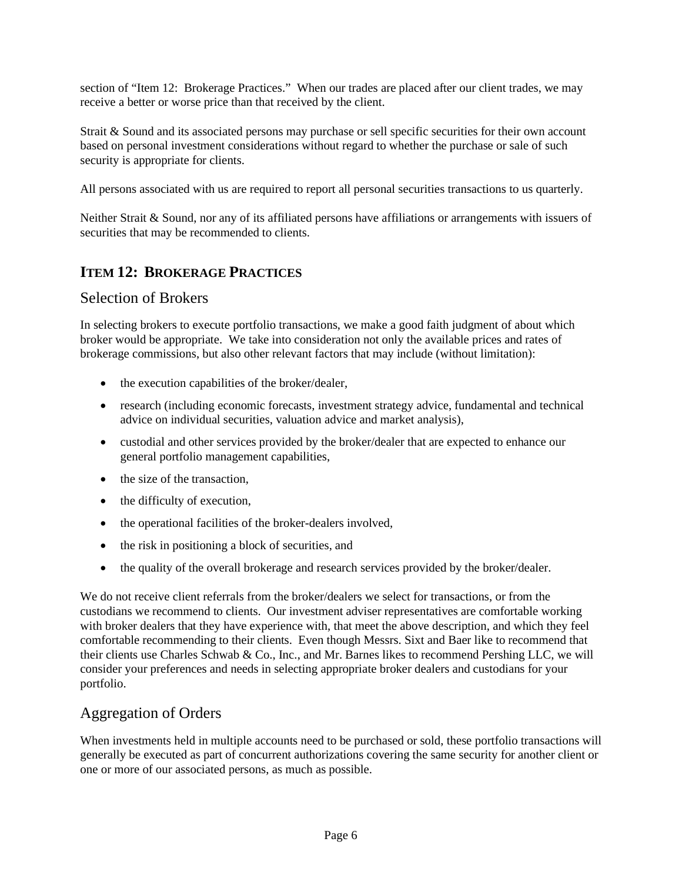section of "Item 12: Brokerage Practices." When our trades are placed after our client trades, we may receive a better or worse price than that received by the client.

Strait & Sound and its associated persons may purchase or sell specific securities for their own account based on personal investment considerations without regard to whether the purchase or sale of such security is appropriate for clients.

All persons associated with us are required to report all personal securities transactions to us quarterly.

Neither Strait & Sound, nor any of its affiliated persons have affiliations or arrangements with issuers of securities that may be recommended to clients.

## **ITEM 12: BROKERAGE PRACTICES**

#### Selection of Brokers

In selecting brokers to execute portfolio transactions, we make a good faith judgment of about which broker would be appropriate. We take into consideration not only the available prices and rates of brokerage commissions, but also other relevant factors that may include (without limitation):

- the execution capabilities of the broker/dealer,
- research (including economic forecasts, investment strategy advice, fundamental and technical advice on individual securities, valuation advice and market analysis),
- custodial and other services provided by the broker/dealer that are expected to enhance our general portfolio management capabilities,
- the size of the transaction,
- the difficulty of execution,
- the operational facilities of the broker-dealers involved,
- the risk in positioning a block of securities, and
- the quality of the overall brokerage and research services provided by the broker/dealer.

We do not receive client referrals from the broker/dealers we select for transactions, or from the custodians we recommend to clients. Our investment adviser representatives are comfortable working with broker dealers that they have experience with, that meet the above description, and which they feel comfortable recommending to their clients. Even though Messrs. Sixt and Baer like to recommend that their clients use Charles Schwab & Co., Inc., and Mr. Barnes likes to recommend Pershing LLC, we will consider your preferences and needs in selecting appropriate broker dealers and custodians for your portfolio.

### Aggregation of Orders

When investments held in multiple accounts need to be purchased or sold, these portfolio transactions will generally be executed as part of concurrent authorizations covering the same security for another client or one or more of our associated persons, as much as possible.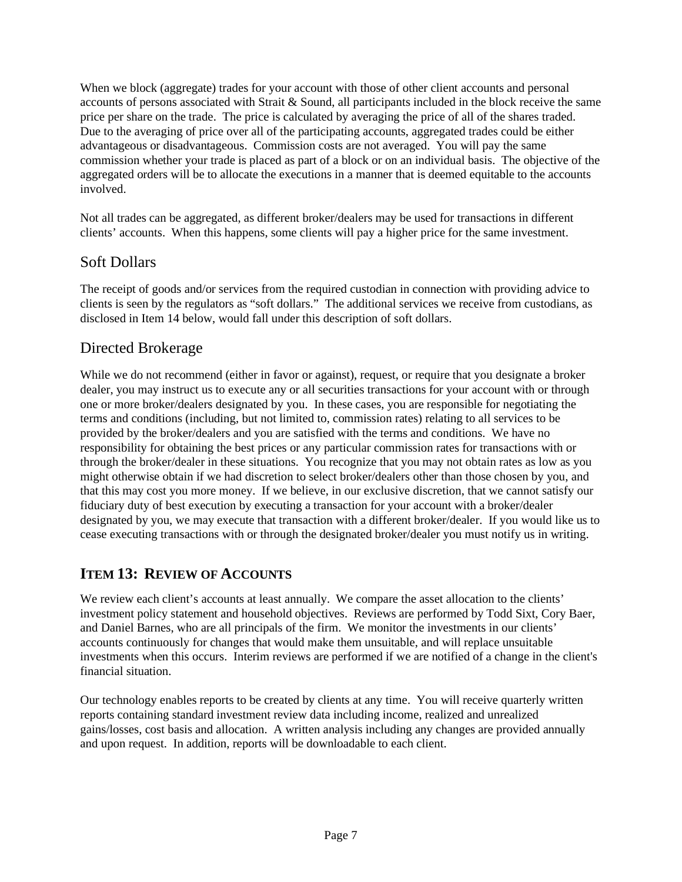When we block (aggregate) trades for your account with those of other client accounts and personal accounts of persons associated with Strait & Sound, all participants included in the block receive the same price per share on the trade. The price is calculated by averaging the price of all of the shares traded. Due to the averaging of price over all of the participating accounts, aggregated trades could be either advantageous or disadvantageous. Commission costs are not averaged. You will pay the same commission whether your trade is placed as part of a block or on an individual basis. The objective of the aggregated orders will be to allocate the executions in a manner that is deemed equitable to the accounts involved.

Not all trades can be aggregated, as different broker/dealers may be used for transactions in different clients' accounts. When this happens, some clients will pay a higher price for the same investment.

# Soft Dollars

The receipt of goods and/or services from the required custodian in connection with providing advice to clients is seen by the regulators as "soft dollars." The additional services we receive from custodians, as disclosed in Item 14 below, would fall under this description of soft dollars.

## Directed Brokerage

While we do not recommend (either in favor or against), request, or require that you designate a broker dealer, you may instruct us to execute any or all securities transactions for your account with or through one or more broker/dealers designated by you. In these cases, you are responsible for negotiating the terms and conditions (including, but not limited to, commission rates) relating to all services to be provided by the broker/dealers and you are satisfied with the terms and conditions. We have no responsibility for obtaining the best prices or any particular commission rates for transactions with or through the broker/dealer in these situations. You recognize that you may not obtain rates as low as you might otherwise obtain if we had discretion to select broker/dealers other than those chosen by you, and that this may cost you more money. If we believe, in our exclusive discretion, that we cannot satisfy our fiduciary duty of best execution by executing a transaction for your account with a broker/dealer designated by you, we may execute that transaction with a different broker/dealer. If you would like us to cease executing transactions with or through the designated broker/dealer you must notify us in writing.

## **ITEM 13: REVIEW OF ACCOUNTS**

We review each client's accounts at least annually. We compare the asset allocation to the clients' investment policy statement and household objectives. Reviews are performed by Todd Sixt, Cory Baer, and Daniel Barnes, who are all principals of the firm. We monitor the investments in our clients' accounts continuously for changes that would make them unsuitable, and will replace unsuitable investments when this occurs. Interim reviews are performed if we are notified of a change in the client's financial situation.

Our technology enables reports to be created by clients at any time. You will receive quarterly written reports containing standard investment review data including income, realized and unrealized gains/losses, cost basis and allocation. A written analysis including any changes are provided annually and upon request. In addition, reports will be downloadable to each client.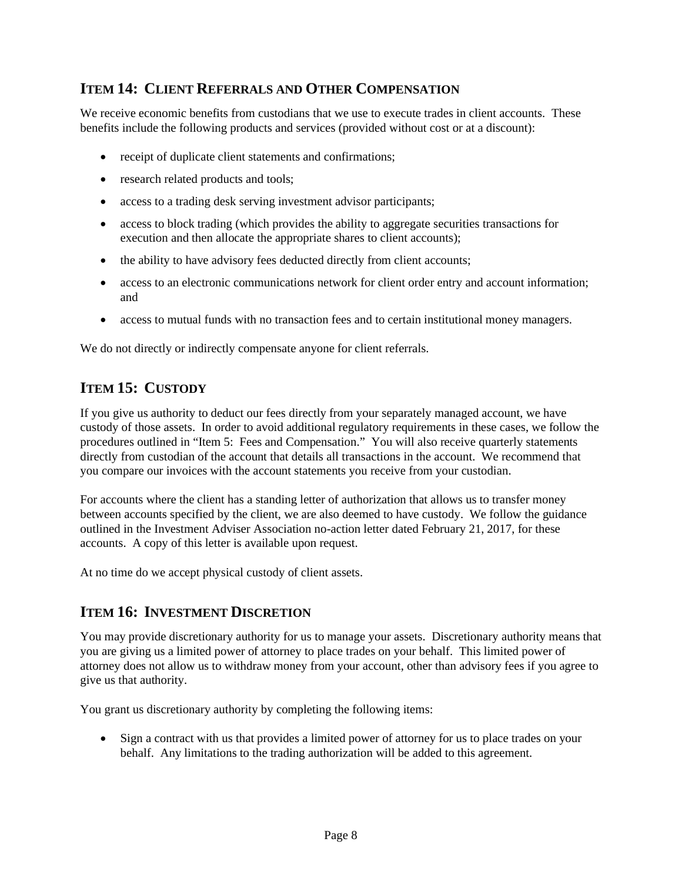## **ITEM 14: CLIENT REFERRALS AND OTHER COMPENSATION**

We receive economic benefits from custodians that we use to execute trades in client accounts. These benefits include the following products and services (provided without cost or at a discount):

- receipt of duplicate client statements and confirmations;
- research related products and tools;
- access to a trading desk serving investment advisor participants;
- access to block trading (which provides the ability to aggregate securities transactions for execution and then allocate the appropriate shares to client accounts);
- the ability to have advisory fees deducted directly from client accounts;
- access to an electronic communications network for client order entry and account information; and
- access to mutual funds with no transaction fees and to certain institutional money managers.

We do not directly or indirectly compensate anyone for client referrals.

# **ITEM 15: CUSTODY**

If you give us authority to deduct our fees directly from your separately managed account, we have custody of those assets. In order to avoid additional regulatory requirements in these cases, we follow the procedures outlined in "Item 5: Fees and Compensation." You will also receive quarterly statements directly from custodian of the account that details all transactions in the account. We recommend that you compare our invoices with the account statements you receive from your custodian.

For accounts where the client has a standing letter of authorization that allows us to transfer money between accounts specified by the client, we are also deemed to have custody. We follow the guidance outlined in the Investment Adviser Association no-action letter dated February 21, 2017, for these accounts. A copy of this letter is available upon request.

At no time do we accept physical custody of client assets.

#### **ITEM 16: INVESTMENT DISCRETION**

You may provide discretionary authority for us to manage your assets. Discretionary authority means that you are giving us a limited power of attorney to place trades on your behalf. This limited power of attorney does not allow us to withdraw money from your account, other than advisory fees if you agree to give us that authority.

You grant us discretionary authority by completing the following items:

 Sign a contract with us that provides a limited power of attorney for us to place trades on your behalf. Any limitations to the trading authorization will be added to this agreement.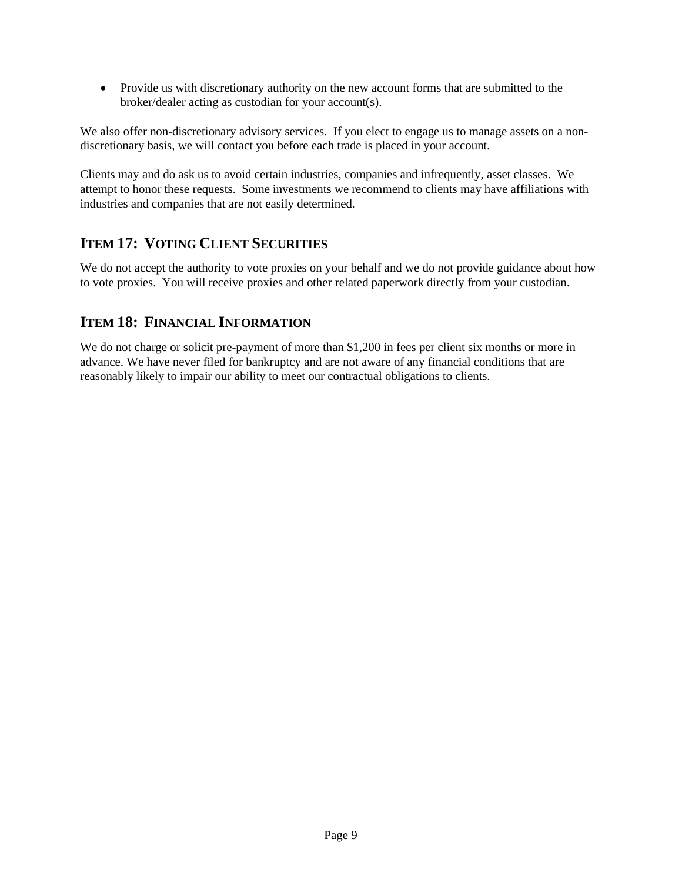Provide us with discretionary authority on the new account forms that are submitted to the broker/dealer acting as custodian for your account(s).

We also offer non-discretionary advisory services. If you elect to engage us to manage assets on a nondiscretionary basis, we will contact you before each trade is placed in your account.

Clients may and do ask us to avoid certain industries, companies and infrequently, asset classes. We attempt to honor these requests. Some investments we recommend to clients may have affiliations with industries and companies that are not easily determined.

## **ITEM 17: VOTING CLIENT SECURITIES**

We do not accept the authority to vote proxies on your behalf and we do not provide guidance about how to vote proxies. You will receive proxies and other related paperwork directly from your custodian.

#### **ITEM 18: FINANCIAL INFORMATION**

We do not charge or solicit pre-payment of more than \$1,200 in fees per client six months or more in advance. We have never filed for bankruptcy and are not aware of any financial conditions that are reasonably likely to impair our ability to meet our contractual obligations to clients.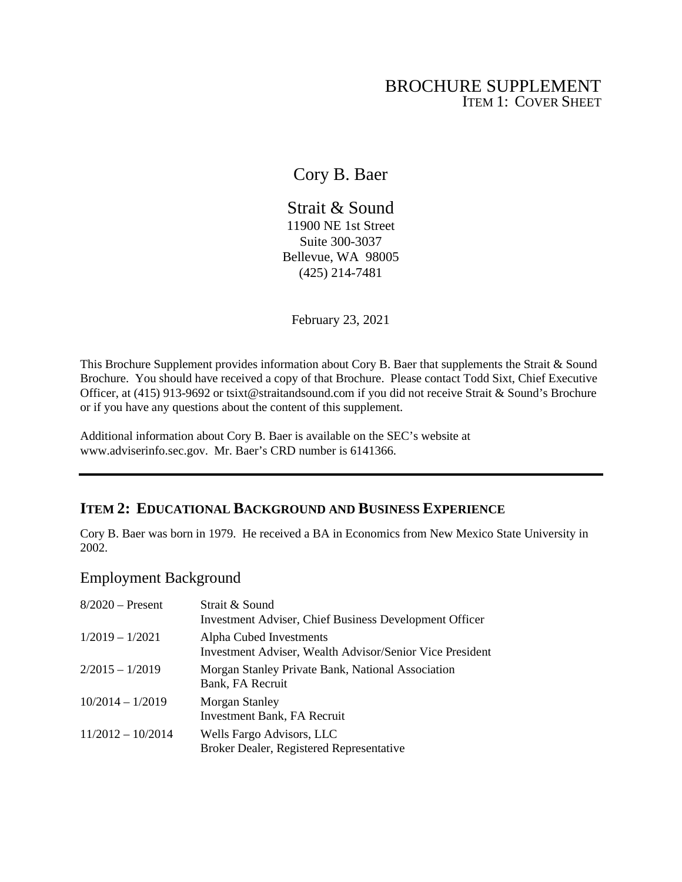### BROCHURE SUPPLEMENT ITEM 1: COVER SHEET

Cory B. Baer

Strait & Sound 11900 NE 1st Street Suite 300-3037 Bellevue, WA 98005 (425) 214-7481

February 23, 2021

This Brochure Supplement provides information about Cory B. Baer that supplements the Strait & Sound Brochure. You should have received a copy of that Brochure. Please contact Todd Sixt, Chief Executive Officer, at (415) 913-9692 or tsixt@straitandsound.com if you did not receive Strait & Sound's Brochure or if you have any questions about the content of this supplement.

Additional information about Cory B. Baer is available on the SEC's website at www.adviserinfo.sec.gov. Mr. Baer's CRD number is 6141366.

## **ITEM 2: EDUCATIONAL BACKGROUND AND BUSINESS EXPERIENCE**

Cory B. Baer was born in 1979. He received a BA in Economics from New Mexico State University in 2002.

### Employment Background

| $8/2020$ – Present  | Strait & Sound<br>Investment Adviser, Chief Business Development Officer                   |
|---------------------|--------------------------------------------------------------------------------------------|
| $1/2019 - 1/2021$   | Alpha Cubed Investments<br><b>Investment Adviser, Wealth Advisor/Senior Vice President</b> |
| $2/2015 - 1/2019$   | Morgan Stanley Private Bank, National Association<br>Bank, FA Recruit                      |
| $10/2014 - 1/2019$  | <b>Morgan Stanley</b><br>Investment Bank, FA Recruit                                       |
| $11/2012 - 10/2014$ | Wells Fargo Advisors, LLC<br>Broker Dealer, Registered Representative                      |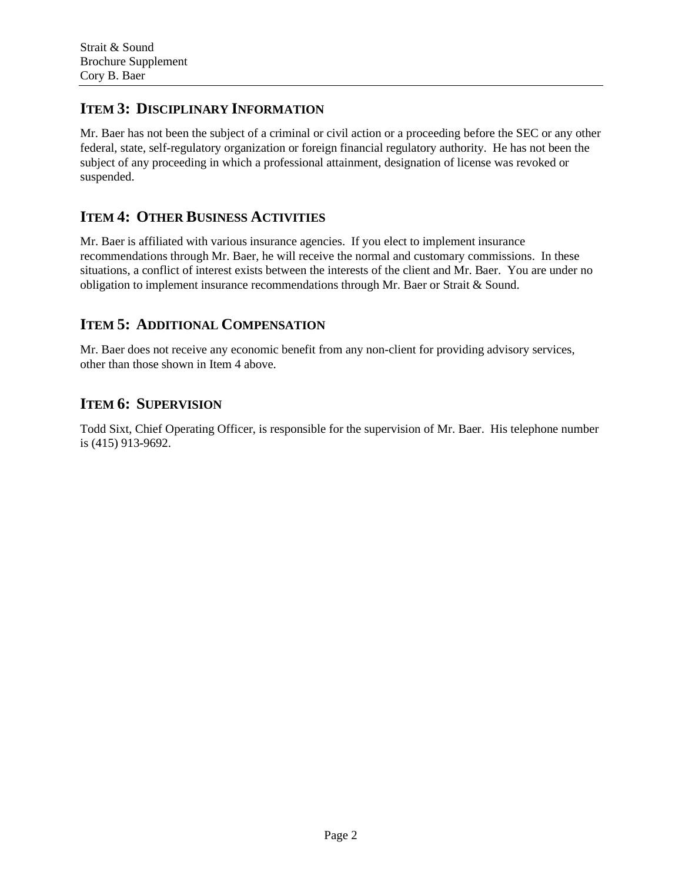### **ITEM 3: DISCIPLINARY INFORMATION**

Mr. Baer has not been the subject of a criminal or civil action or a proceeding before the SEC or any other federal, state, self-regulatory organization or foreign financial regulatory authority. He has not been the subject of any proceeding in which a professional attainment, designation of license was revoked or suspended.

## **ITEM 4: OTHER BUSINESS ACTIVITIES**

Mr. Baer is affiliated with various insurance agencies. If you elect to implement insurance recommendations through Mr. Baer, he will receive the normal and customary commissions. In these situations, a conflict of interest exists between the interests of the client and Mr. Baer. You are under no obligation to implement insurance recommendations through Mr. Baer or Strait & Sound.

## **ITEM 5: ADDITIONAL COMPENSATION**

Mr. Baer does not receive any economic benefit from any non-client for providing advisory services, other than those shown in Item 4 above.

## **ITEM 6: SUPERVISION**

Todd Sixt, Chief Operating Officer, is responsible for the supervision of Mr. Baer. His telephone number is (415) 913-9692.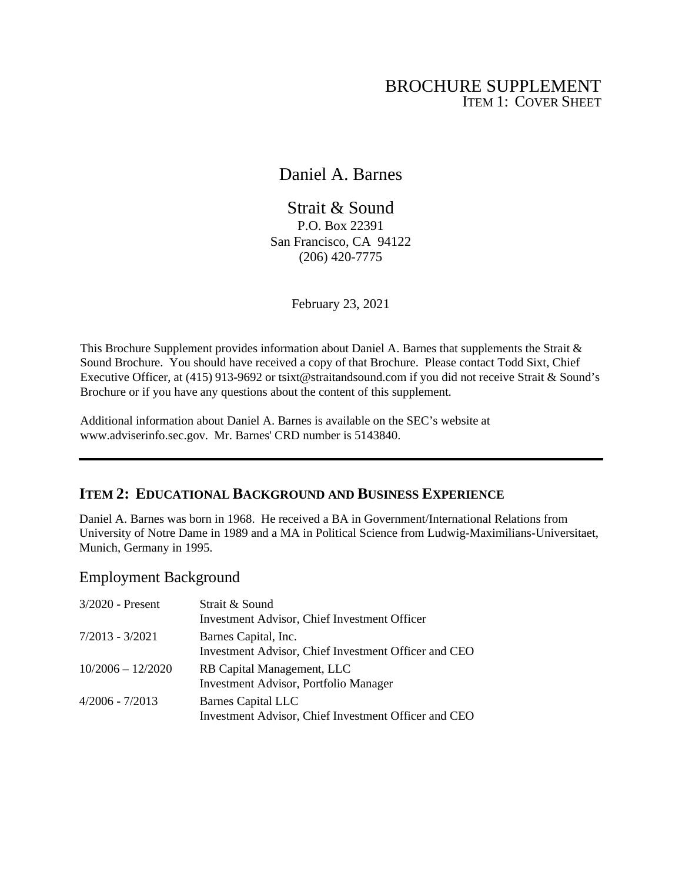## BROCHURE SUPPLEMENT ITEM 1: COVER SHEET

Daniel A. Barnes

Strait & Sound P.O. Box 22391 San Francisco, CA 94122 (206) 420-7775

February 23, 2021

This Brochure Supplement provides information about Daniel A. Barnes that supplements the Strait & Sound Brochure. You should have received a copy of that Brochure. Please contact Todd Sixt, Chief Executive Officer, at (415) 913-9692 or tsixt@straitandsound.com if you did not receive Strait & Sound's Brochure or if you have any questions about the content of this supplement.

Additional information about Daniel A. Barnes is available on the SEC's website at www.adviserinfo.sec.gov. Mr. Barnes' CRD number is 5143840.

#### **ITEM 2: EDUCATIONAL BACKGROUND AND BUSINESS EXPERIENCE**

Daniel A. Barnes was born in 1968. He received a BA in Government/International Relations from University of Notre Dame in 1989 and a MA in Political Science from Ludwig-Maximilians-Universitaet, Munich, Germany in 1995.

#### Employment Background

| $3/2020$ - Present  | Strait & Sound<br>Investment Advisor, Chief Investment Officer                    |
|---------------------|-----------------------------------------------------------------------------------|
| 7/2013 - 3/2021     | Barnes Capital, Inc.<br>Investment Advisor, Chief Investment Officer and CEO      |
| $10/2006 - 12/2020$ | RB Capital Management, LLC<br><b>Investment Advisor, Portfolio Manager</b>        |
| 4/2006 - 7/2013     | <b>Barnes Capital LLC</b><br>Investment Advisor, Chief Investment Officer and CEO |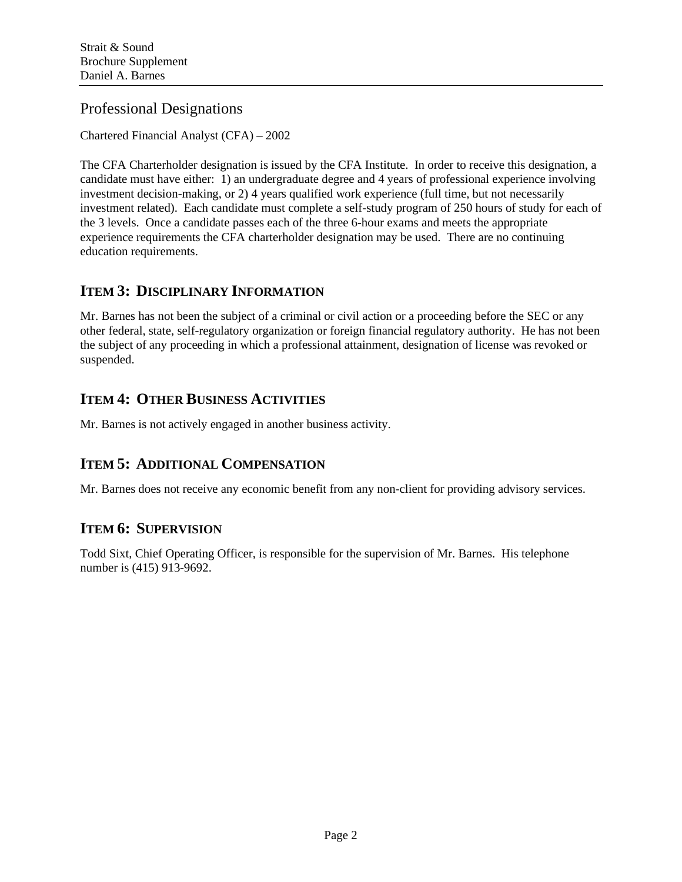## Professional Designations

Chartered Financial Analyst (CFA) – 2002

The CFA Charterholder designation is issued by the CFA Institute. In order to receive this designation, a candidate must have either: 1) an undergraduate degree and 4 years of professional experience involving investment decision-making, or 2) 4 years qualified work experience (full time, but not necessarily investment related). Each candidate must complete a self-study program of 250 hours of study for each of the 3 levels. Once a candidate passes each of the three 6-hour exams and meets the appropriate experience requirements the CFA charterholder designation may be used. There are no continuing education requirements.

#### **ITEM 3: DISCIPLINARY INFORMATION**

Mr. Barnes has not been the subject of a criminal or civil action or a proceeding before the SEC or any other federal, state, self-regulatory organization or foreign financial regulatory authority. He has not been the subject of any proceeding in which a professional attainment, designation of license was revoked or suspended.

# **ITEM 4: OTHER BUSINESS ACTIVITIES**

Mr. Barnes is not actively engaged in another business activity.

## **ITEM 5: ADDITIONAL COMPENSATION**

Mr. Barnes does not receive any economic benefit from any non-client for providing advisory services.

## **ITEM 6: SUPERVISION**

Todd Sixt, Chief Operating Officer, is responsible for the supervision of Mr. Barnes. His telephone number is (415) 913-9692.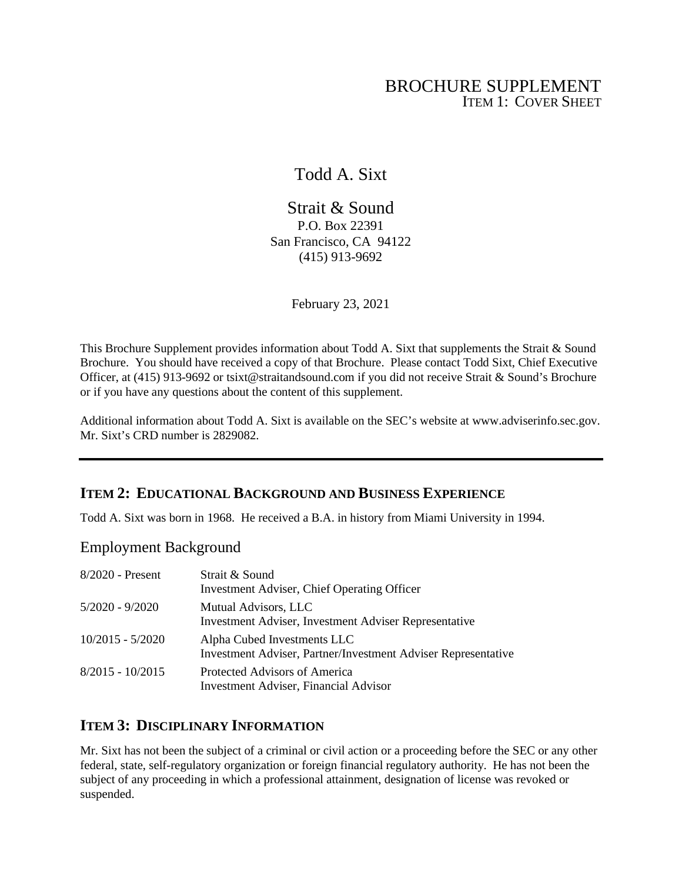## BROCHURE SUPPLEMENT ITEM 1: COVER SHEET

## Todd A. Sixt

Strait & Sound P.O. Box 22391 San Francisco, CA 94122 (415) 913-9692

February 23, 2021

This Brochure Supplement provides information about Todd A. Sixt that supplements the Strait & Sound Brochure. You should have received a copy of that Brochure. Please contact Todd Sixt, Chief Executive Officer, at (415) 913-9692 or tsixt@straitandsound.com if you did not receive Strait & Sound's Brochure or if you have any questions about the content of this supplement.

Additional information about Todd A. Sixt is available on the SEC's website at www.adviserinfo.sec.gov. Mr. Sixt's CRD number is 2829082.

#### **ITEM 2: EDUCATIONAL BACKGROUND AND BUSINESS EXPERIENCE**

Todd A. Sixt was born in 1968. He received a B.A. in history from Miami University in 1994.

#### Employment Background

| 8/2020 - Present   | Strait & Sound<br>Investment Adviser, Chief Operating Officer                                |
|--------------------|----------------------------------------------------------------------------------------------|
| $5/2020 - 9/2020$  | Mutual Advisors, LLC<br>Investment Adviser, Investment Adviser Representative                |
| $10/2015 - 5/2020$ | Alpha Cubed Investments LLC<br>Investment Adviser, Partner/Investment Adviser Representative |
| $8/2015 - 10/2015$ | Protected Advisors of America<br><b>Investment Adviser, Financial Advisor</b>                |

#### **ITEM 3: DISCIPLINARY INFORMATION**

Mr. Sixt has not been the subject of a criminal or civil action or a proceeding before the SEC or any other federal, state, self-regulatory organization or foreign financial regulatory authority. He has not been the subject of any proceeding in which a professional attainment, designation of license was revoked or suspended.